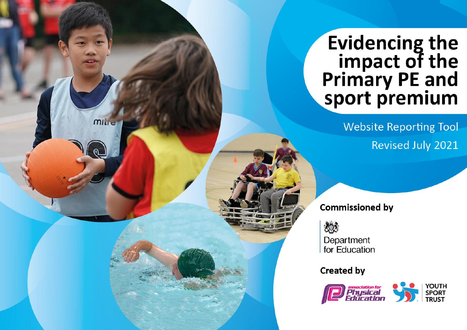## Evidencing the<br>
impact of the<br>
Primary PE and<br>
sport premium

**Website Reporting Tool Revised July 2021** 

**Commissioned by** 



mille

Department for Education

**Created by** 

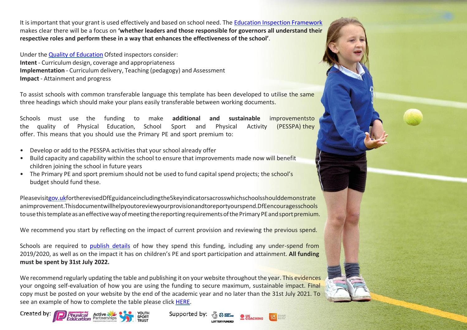It isimportant that your grant is used effectively and based on school need. The Education Inspection [Framework](https://assets.publishing.service.gov.uk/government/uploads/system/uploads/attachment_data/file/843108/School_inspection_handbook_-_section_5.pdf) makes clear there will be a focus on **'whether leaders and those responsible for governors all understand their respective roles and perform these in a way that enhances the effectiveness of the school'**.

Under the Quality of [Education](https://assets.publishing.service.gov.uk/government/uploads/system/uploads/attachment_data/file/843108/School_inspection_handbook_-_section_5.pdf) Ofsted inspectors consider: **Intent** - Curriculum design, coverage and appropriateness **Implementation** - Curriculum delivery, Teaching (pedagogy) and Assessment **Impact** - Attainment and progress

To assist schools with common transferable language this template has been developed to utilise the same three headings which should make your plans easily transferable between working documents.

Schools must use the funding to make **additional and sustainable** improvementsto the quality of Physical Education, School Sport and Physical Activity (PESSPA) they offer. This means that you should use the Primary PE and sport premium to:

- Develop or add to the PESSPA activities that your school already offer
- Build capacity and capability within the school to ensure that improvements made now will benefit children joining the school in future years
- The Primary PE and sport premium should not be used to fund capital spend projects; the school's budget should fund these.

Pleasevisi[tgov.ukf](https://www.gov.uk/guidance/pe-and-sport-premium-for-primary-schools)ortherevisedDfEguidanceincludingthe5keyindicatorsacrosswhichschoolsshoulddemonstrate animprovement.Thisdocumentwillhelpyoutoreviewyourprovisionandtoreportyourspend.DfEencouragesschools to use this template as an effective way of meeting the reporting requirements of the Primary PE and sport premium.

We recommend you start by reflecting on the impact of current provision and reviewing the previous spend.

Schools are required to [publish details](https://www.gov.uk/guidance/what-maintained-schools-must-publish-online#pe-and-sport-premium-for-primary-schools) of how they spend this funding, including any under-spend from 2019/2020, as well as on the impact it has on children's PE and sport participation and attainment. **All funding must be spent by 31st July 2022.**

We recommend regularly updating the table and publishing it on your website throughout the year. This evidences your ongoing self-evaluation of how you are using the funding to secure maximum, sustainable impact. Final copy must be posted on your website by the end of the academic year and no later than the 31st July 2021. To see an example of how to complete the table please click [HERE.](http://www.afpe.org.uk/physical-education/wp-content/uploads/afPE-Example-Template-Indicator-2018-Final.pdf)

Supported by:







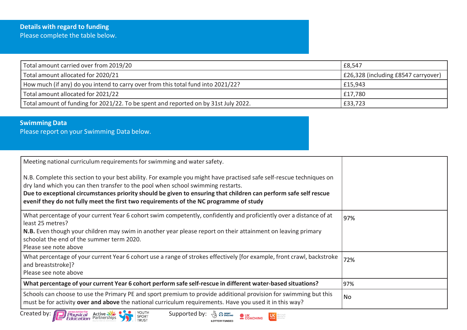| Total amount carried over from 2019/20                                              | £8,547                              |
|-------------------------------------------------------------------------------------|-------------------------------------|
| Total amount allocated for 2020/21                                                  | E26,328 (including £8547 carryover) |
| How much (if any) do you intend to carry over from this total fund into 2021/22?    | £15,943                             |
| Total amount allocated for 2021/22                                                  | £17,780                             |
| Total amount of funding for 2021/22. To be spent and reported on by 31st July 2022. | £33,723                             |

## **Swimming Data**

Please report on your Swimming Data below.

| Meeting national curriculum requirements for swimming and water safety.                                                                                                                                                                                                                                                                                                                                              |     |
|----------------------------------------------------------------------------------------------------------------------------------------------------------------------------------------------------------------------------------------------------------------------------------------------------------------------------------------------------------------------------------------------------------------------|-----|
| N.B. Complete this section to your best ability. For example you might have practised safe self-rescue techniques on<br>dry land which you can then transfer to the pool when school swimming restarts.<br>Due to exceptional circumstances priority should be given to ensuring that children can perform safe self rescue<br>evenif they do not fully meet the first two requirements of the NC programme of study |     |
| What percentage of your current Year 6 cohort swim competently, confidently and proficiently over a distance of at<br>least 25 metres?<br>N.B. Even though your children may swim in another year please report on their attainment on leaving primary<br>schoolat the end of the summer term 2020.<br>Please see note above                                                                                         | 97% |
| What percentage of your current Year 6 cohort use a range of strokes effectively [for example, front crawl, backstroke<br>and breaststroke]?<br>Please see note above                                                                                                                                                                                                                                                | 72% |
| What percentage of your current Year 6 cohort perform safe self-rescue in different water-based situations?                                                                                                                                                                                                                                                                                                          | 97% |
| Schools can choose to use the Primary PE and sport premium to provide additional provision for swimming but this<br>must be for activity over and above the national curriculum requirements. Have you used it in this way?                                                                                                                                                                                          | No  |

LOTTERY FUNDED



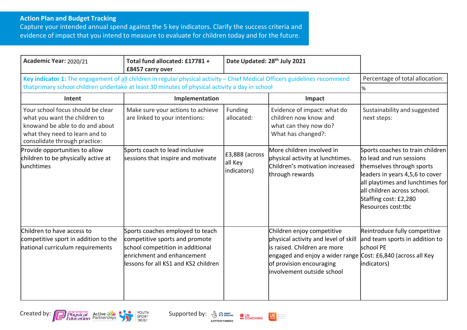## **Action Plan and Budget Tracking**

Capture your intended annual spend against the 5 key indicators. Clarify the success criteria and evidence of impact that you intend to measure to evaluate for children today and for the future.

| Academic Year: 2020/21                                                                                                                                                   | Total fund allocated: £17781 +<br>£8457 carry over                                                                                                                           | Date Updated: 28 <sup>th</sup> July 2021 |                                                                                                                                                                                                                               |                                                                                                                                                                                                                                                |
|--------------------------------------------------------------------------------------------------------------------------------------------------------------------------|------------------------------------------------------------------------------------------------------------------------------------------------------------------------------|------------------------------------------|-------------------------------------------------------------------------------------------------------------------------------------------------------------------------------------------------------------------------------|------------------------------------------------------------------------------------------------------------------------------------------------------------------------------------------------------------------------------------------------|
| Key indicator 1: The engagement of all children in regular physical activity - Chief Medical Officers guidelines recommend                                               | Percentage of total allocation:                                                                                                                                              |                                          |                                                                                                                                                                                                                               |                                                                                                                                                                                                                                                |
|                                                                                                                                                                          | thatprimary school children undertake at least 30 minutes of physical activity a day in school                                                                               |                                          |                                                                                                                                                                                                                               | %                                                                                                                                                                                                                                              |
| Intent                                                                                                                                                                   | Implementation                                                                                                                                                               |                                          | Impact                                                                                                                                                                                                                        |                                                                                                                                                                                                                                                |
| Your school focus should be clear<br>what you want the children to<br>knowand be able to do and about<br>what they need to learn and to<br>consolidate through practice: | Make sure your actions to achieve<br>are linked to your intentions:                                                                                                          | Funding<br>allocated:                    | Evidence of impact: what do<br>children now know and<br>what can they now do?<br>What has changed?:                                                                                                                           | Sustainability and suggested<br>next steps:                                                                                                                                                                                                    |
| Provide opportunities to allow<br>children to be physically active at<br>llunchtimes                                                                                     | Sports coach to lead inclusive<br>sessions that inspire and motivate                                                                                                         | £3,888 (across<br>all Key<br>indicators) | More children involved in<br>physical activity at lunchtimes.<br>Children's motivation increased<br>through rewards                                                                                                           | Sports coaches to train children<br>to lead and run sessions<br>themselves through sports<br>leaders in years 4,5,6 to cover<br>all playtimes and lunchtimes for<br>all children across school.<br>Staffing cost: £2,280<br>Resources cost:tbc |
| Children to have access to<br>competitive sport in addition to the<br>national curriculum requirements                                                                   | Sports coaches employed to teach<br>competitive sports and promote<br>school competition in additional<br>enrichment and enhancement<br>lessons for all KS1 and KS2 children |                                          | Children enjoy competitive<br>physical activity and level of skill<br>is raised. Children are more<br>engaged and enjoy a wider range Cost: £6,840 (across all Key<br>of provision encouraging<br>linvolvement outside school | Reintroduce fully competitive<br>and team sports in addition to<br>school PE<br>indicators)                                                                                                                                                    |





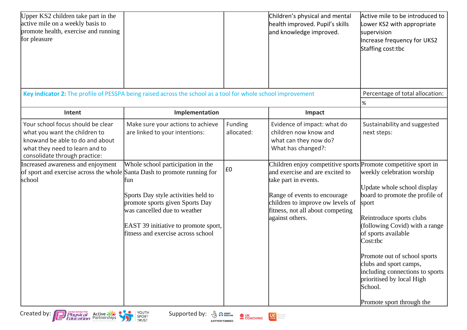| Upper KS2 children take part in the<br>active mile on a weekly basis to<br>promote health, exercise and running<br>for pleasure                                                                             |                                                                                                                                                                                                                                                                                             |                              | Children's physical and mental<br>health improved. Pupil's skills<br>and knowledge improved.                                                                                                                                                                                                     | Active mile to be introduced to<br>Lower KS2 with appropriate<br>supervision<br>Increase frequency for UKS2<br>Staffing cost:tbc                                                                                                                                                                                                                                         |
|-------------------------------------------------------------------------------------------------------------------------------------------------------------------------------------------------------------|---------------------------------------------------------------------------------------------------------------------------------------------------------------------------------------------------------------------------------------------------------------------------------------------|------------------------------|--------------------------------------------------------------------------------------------------------------------------------------------------------------------------------------------------------------------------------------------------------------------------------------------------|--------------------------------------------------------------------------------------------------------------------------------------------------------------------------------------------------------------------------------------------------------------------------------------------------------------------------------------------------------------------------|
|                                                                                                                                                                                                             | Key indicator 2: The profile of PESSPA being raised across the school as a tool for whole school improvement                                                                                                                                                                                |                              |                                                                                                                                                                                                                                                                                                  | Percentage of total allocation:                                                                                                                                                                                                                                                                                                                                          |
|                                                                                                                                                                                                             |                                                                                                                                                                                                                                                                                             |                              |                                                                                                                                                                                                                                                                                                  | %                                                                                                                                                                                                                                                                                                                                                                        |
| Intent                                                                                                                                                                                                      | Implementation                                                                                                                                                                                                                                                                              |                              | Impact                                                                                                                                                                                                                                                                                           |                                                                                                                                                                                                                                                                                                                                                                          |
| Your school focus should be clear<br>what you want the children to<br>knowand be able to do and about<br>what they need to learn and to<br>consolidate through practice:                                    | Make sure your actions to achieve<br>are linked to your intentions:                                                                                                                                                                                                                         | Funding<br>allocated:        | Evidence of impact: what do<br>children now know and<br>what can they now do?<br>What has changed?:                                                                                                                                                                                              | Sustainability and suggested<br>next steps:                                                                                                                                                                                                                                                                                                                              |
| Increased awareness and enjoyment<br>of sport and exercise across the whole Santa Dash to promote running for<br>school<br>Created by: <b>Depresention of Active State</b><br><b>Education</b> Partnerships | Whole school participation in the<br>tun<br>Sports Day style activities held to<br>promote sports given Sports Day<br>was cancelled due to weather<br>EAST 39 initiative to promote sport,<br>fitness and exercise across school<br>YOUTH<br>Supported by: 3 Pr SHORT AND<br>SPORT<br>TRUST | E0<br><b>OUK</b><br>COACHING | Children enjoy competitive sports Promote competitive sport in<br>and exercise and are excited to<br>take part in events.<br>Range of events to encourage<br>children to improve ow levels of<br>fitness, not all about competing<br>against others.<br>Mare people<br>Mare active<br>Mare often | weekly celebration worship<br>Update whole school display<br>board to promote the profile of<br>sport<br>Reintroduce sports clubs<br>(following Covid) with a range<br>of sports available<br>Cost:tbc<br>Promote out of school sports<br>clubs and sport camps,<br>including connections to sports<br>prioritised by local High<br>School.<br>Promote sport through the |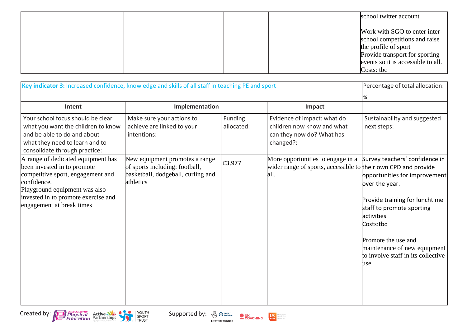|  |  | school twitter account                                                                                                                                                       |
|--|--|------------------------------------------------------------------------------------------------------------------------------------------------------------------------------|
|  |  | Work with SGO to enter inter-<br>school competitions and raise<br>the profile of sport<br>Provide transport for sporting<br>events so it is accessible to all.<br>Costs: tbc |

| Key indicator 3: Increased confidence, knowledge and skills of all staff in teaching PE and sport                                                                                                                          |                                                                                                                     |                       |                                                                                                             | Percentage of total allocation:                                                                                                                                                                                                                                                  |
|----------------------------------------------------------------------------------------------------------------------------------------------------------------------------------------------------------------------------|---------------------------------------------------------------------------------------------------------------------|-----------------------|-------------------------------------------------------------------------------------------------------------|----------------------------------------------------------------------------------------------------------------------------------------------------------------------------------------------------------------------------------------------------------------------------------|
|                                                                                                                                                                                                                            |                                                                                                                     |                       |                                                                                                             | $\%$                                                                                                                                                                                                                                                                             |
| Intent                                                                                                                                                                                                                     | Implementation                                                                                                      |                       | Impact                                                                                                      |                                                                                                                                                                                                                                                                                  |
| Your school focus should be clear<br>what you want the children to know<br>and be able to do and about<br>what they need to learn and to<br>consolidate through practice:                                                  | Make sure your actions to<br>achieve are linked to your<br>intentions:                                              | Funding<br>allocated: | Evidence of impact: what do<br>children now know and what<br>can they now do? What has<br>changed?:         | Sustainability and suggested<br>next steps:                                                                                                                                                                                                                                      |
| A range of dedicated equipment has<br>been invested in to promote<br>competitive sport, engagement and<br>confidence.<br>Playground equipment was also<br>invested in to promote exercise and<br>engagement at break times | New equipment promotes a range<br>of sports including: football,<br>basketball, dodgeball, curling and<br>athletics | £3,977                | More opportunities to engage in a<br>wider range of sports, accessible to their own CPD and provide<br>all. | Survey teachers' confidence in<br>opportunities for improvement<br>over the year.<br>Provide training for lunchtime<br>staff to promote sporting<br>activities<br>Costs:tbc<br>Promote the use and<br>maintenance of new equipment<br>to involve staff in its collective<br>luse |





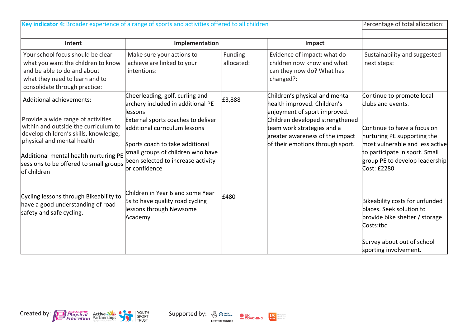| Key indicator 4: Broader experience of a range of sports and activities offered to all children                                                                                                                                                                                  |                                                                                                                                                                                                                                                                                         |                       | Percentage of total allocation:                                                                                                                                                                                                       |                                                                                                                                                                                                                                    |
|----------------------------------------------------------------------------------------------------------------------------------------------------------------------------------------------------------------------------------------------------------------------------------|-----------------------------------------------------------------------------------------------------------------------------------------------------------------------------------------------------------------------------------------------------------------------------------------|-----------------------|---------------------------------------------------------------------------------------------------------------------------------------------------------------------------------------------------------------------------------------|------------------------------------------------------------------------------------------------------------------------------------------------------------------------------------------------------------------------------------|
| Intent                                                                                                                                                                                                                                                                           | Implementation                                                                                                                                                                                                                                                                          |                       | Impact                                                                                                                                                                                                                                |                                                                                                                                                                                                                                    |
| Your school focus should be clear<br>what you want the children to know<br>and be able to do and about<br>what they need to learn and to<br>consolidate through practice:                                                                                                        | Make sure your actions to<br>achieve are linked to your<br>intentions:                                                                                                                                                                                                                  | Funding<br>allocated: | Evidence of impact: what do<br>children now know and what<br>can they now do? What has<br>changed?:                                                                                                                                   | Sustainability and suggested<br>next steps:                                                                                                                                                                                        |
| Additional achievements:<br>Provide a wide range of activities<br>within and outside the curriculum to<br>develop children's skills, knowledge,<br>physical and mental health<br>Additional mental health nurturing PE<br>sessions to be offered to small groups<br>lof children | Cheerleading, golf, curling and<br>archery included in additional PE<br>llessons<br>External sports coaches to deliver<br>additional curriculum lessons<br>Sports coach to take additional<br>small groups of children who have<br>been selected to increase activity<br>lor confidence | £3,888                | Children's physical and mental<br>health improved. Children's<br>enjoyment of sport improved.<br>Children developed strengthened<br>team work strategies and a<br>greater awareness of the impact<br>of their emotions through sport. | Continue to promote local<br>clubs and events.<br>Continue to have a focus on<br>nurturing PE supporting the<br>most vulnerable and less active<br>to participate in sport. Small<br>group PE to develop leadership<br>Cost: £2280 |
| Cycling lessons through Bikeability to<br>have a good understanding of road<br>safety and safe cycling.                                                                                                                                                                          | Children in Year 6 and some Year<br>5s to have quality road cycling<br>lessons through Newsome<br>Academy                                                                                                                                                                               | £480                  |                                                                                                                                                                                                                                       | Bikeability costs for unfunded<br>places. Seek solution to<br>provide bike shelter / storage<br>Costs:tbc<br>Survey about out of school<br>sporting involvement.                                                                   |